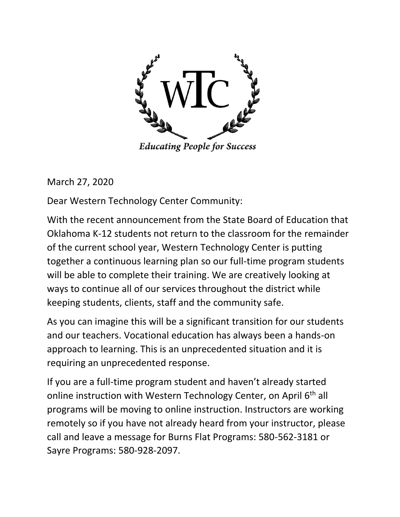

**Educating People for Success** 

March 27, 2020

Dear Western Technology Center Community:

With the recent announcement from the State Board of Education that Oklahoma K-12 students not return to the classroom for the remainder of the current school year, Western Technology Center is putting together a continuous learning plan so our full-time program students will be able to complete their training. We are creatively looking at ways to continue all of our services throughout the district while keeping students, clients, staff and the community safe.

As you can imagine this will be a significant transition for our students and our teachers. Vocational education has always been a hands-on approach to learning. This is an unprecedented situation and it is requiring an unprecedented response.

If you are a full-time program student and haven't already started online instruction with Western Technology Center, on April 6<sup>th</sup> all programs will be moving to online instruction. Instructors are working remotely so if you have not already heard from your instructor, please call and leave a message for Burns Flat Programs: 580-562-3181 or Sayre Programs: 580-928-2097.